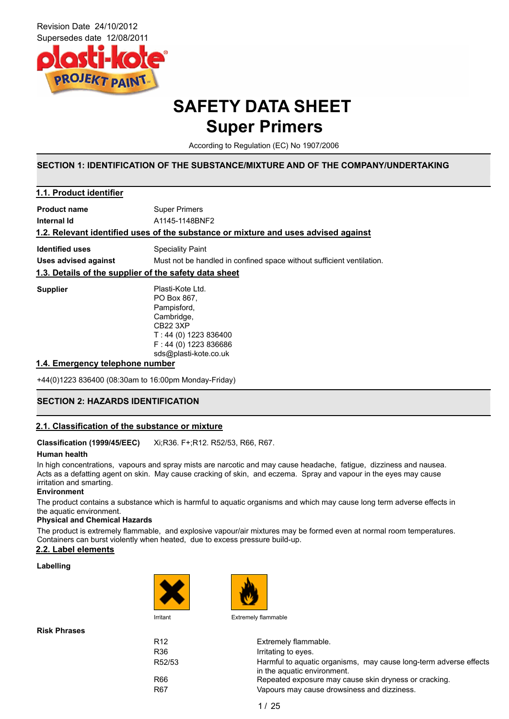

### **SAFETY DATA SHEET Super Primers**

According to Regulation (EC) No 1907/2006

### **SECTION 1: IDENTIFICATION OF THE SUBSTANCE/MIXTURE AND OF THE COMPANY/UNDERTAKING**

| 1.1. Product identifier                               |                                                                                                                                                              |  |  |  |
|-------------------------------------------------------|--------------------------------------------------------------------------------------------------------------------------------------------------------------|--|--|--|
| <b>Product name</b>                                   | <b>Super Primers</b>                                                                                                                                         |  |  |  |
| Internal Id                                           | A1145-1148BNF2                                                                                                                                               |  |  |  |
|                                                       | 1.2. Relevant identified uses of the substance or mixture and uses advised against                                                                           |  |  |  |
| <b>Identified uses</b>                                | <b>Speciality Paint</b>                                                                                                                                      |  |  |  |
| Uses advised against                                  | Must not be handled in confined space without sufficient ventilation.                                                                                        |  |  |  |
| 1.3. Details of the supplier of the safety data sheet |                                                                                                                                                              |  |  |  |
| <b>Supplier</b>                                       | Plasti-Kote Ltd.<br>PO Box 867.<br>Pampisford,<br>Cambridge,<br><b>CB22 3XP</b><br>$T: 44(0)$ 1223 836400<br>$F: 44(0)$ 1223 836686<br>sds@plasti-kote.co.uk |  |  |  |

### **1.4. Emergency telephone number**

+44(0)1223 836400 (08:30am to 16:00pm Monday-Friday)

### **SECTION 2: HAZARDS IDENTIFICATION**

### **2.1. Classification of the substance or mixture**

**Classification (1999/45/EEC)** Xi;R36. F+;R12. R52/53, R66, R67.

#### **Human health**

In high concentrations, vapours and spray mists are narcotic and may cause headache, fatigue, dizziness and nausea. Acts as a defatting agent on skin. May cause cracking of skin, and eczema. Spray and vapour in the eyes may cause irritation and smarting.

#### **Environment**

The product contains a substance which is harmful to aquatic organisms and which may cause long term adverse effects in the aquatic environment.

### **Physical and Chemical Hazards**

The product is extremely flammable, and explosive vapour/air mixtures may be formed even at normal room temperatures. Containers can burst violently when heated, due to excess pressure build-up.

### **2.2. Label elements**

#### **Labelling**





Irritant Extremely flammable

| R <sub>12</sub> | Extremely flammable.                                                                             |
|-----------------|--------------------------------------------------------------------------------------------------|
| R <sub>36</sub> | Irritating to eyes.                                                                              |
| R52/53          | Harmful to aquatic organisms, may cause long-term adverse effects<br>in the aquatic environment. |
| R66             | Repeated exposure may cause skin dryness or cracking.                                            |
| R <sub>67</sub> | Vapours may cause drowsiness and dizziness.                                                      |

**Risk Phrases**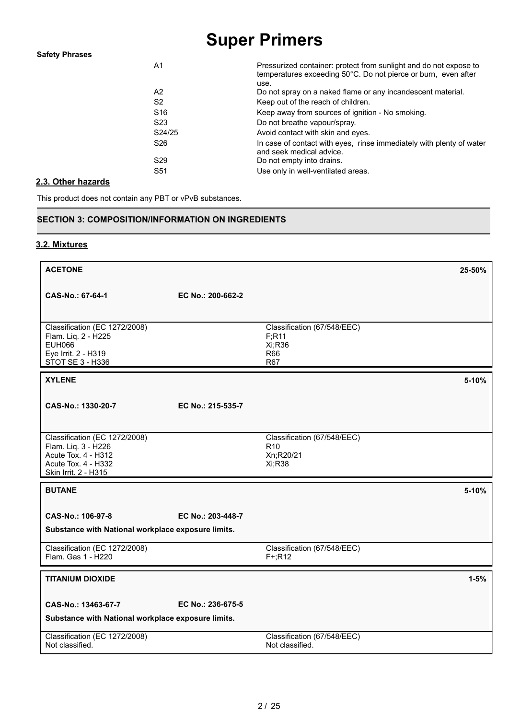| A1              | Pressurized container: protect from sunlight and do not expose to<br>temperatures exceeding 50°C. Do not pierce or burn, even after<br>use. |
|-----------------|---------------------------------------------------------------------------------------------------------------------------------------------|
| A2              | Do not spray on a naked flame or any incandescent material.                                                                                 |
| S <sub>2</sub>  | Keep out of the reach of children.                                                                                                          |
| S <sub>16</sub> | Keep away from sources of ignition - No smoking.                                                                                            |
| S <sub>23</sub> | Do not breathe vapour/spray.                                                                                                                |
| S24/25          | Avoid contact with skin and eyes.                                                                                                           |
| S <sub>26</sub> | In case of contact with eyes, rinse immediately with plenty of water<br>and seek medical advice.                                            |
| S <sub>29</sub> | Do not empty into drains.                                                                                                                   |
| S <sub>51</sub> | Use only in well-ventilated areas.                                                                                                          |
|                 |                                                                                                                                             |

### **2.3. Other hazards**

This product does not contain any PBT or vPvB substances.

### **SECTION 3: COMPOSITION/INFORMATION ON INGREDIENTS**

### **3.2. Mixtures**

| <b>ACETONE</b>                                                                                                             |                   |                                                                       | 25-50%   |
|----------------------------------------------------------------------------------------------------------------------------|-------------------|-----------------------------------------------------------------------|----------|
| CAS-No.: 67-64-1                                                                                                           | EC No.: 200-662-2 |                                                                       |          |
| Classification (EC 1272/2008)<br>Flam. Liq. 2 - H225<br><b>EUH066</b><br>Eye Irrit. 2 - H319<br>STOT SE 3 - H336           |                   | Classification (67/548/EEC)<br>F; R11<br>Xi;R36<br><b>R66</b><br>R67  |          |
| <b>XYLENE</b>                                                                                                              |                   |                                                                       | 5-10%    |
| CAS-No.: 1330-20-7                                                                                                         | EC No.: 215-535-7 |                                                                       |          |
| Classification (EC 1272/2008)<br>Flam. Liq. 3 - H226<br>Acute Tox. 4 - H312<br>Acute Tox. 4 - H332<br>Skin Irrit. 2 - H315 |                   | Classification (67/548/EEC)<br>R <sub>10</sub><br>Xn;R20/21<br>Xi;R38 |          |
| <b>BUTANE</b>                                                                                                              |                   |                                                                       | 5-10%    |
| CAS-No.: 106-97-8<br>Substance with National workplace exposure limits.                                                    | EC No.: 203-448-7 |                                                                       |          |
| Classification (EC 1272/2008)<br>Flam. Gas 1 - H220                                                                        |                   | Classification (67/548/EEC)<br>$F+;R12$                               |          |
| <b>TITANIUM DIOXIDE</b>                                                                                                    |                   |                                                                       | $1 - 5%$ |
| CAS-No.: 13463-67-7<br>Substance with National workplace exposure limits.                                                  | EC No.: 236-675-5 |                                                                       |          |
| Classification (EC 1272/2008)<br>Not classified.                                                                           |                   | Classification (67/548/EEC)<br>Not classified.                        |          |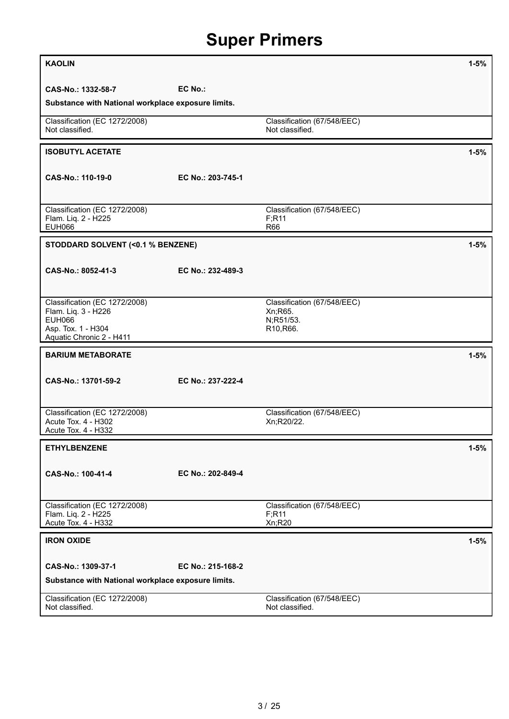| <b>KAOLIN</b>                                                                                                           |                   |                                                                   | $1 - 5%$ |
|-------------------------------------------------------------------------------------------------------------------------|-------------------|-------------------------------------------------------------------|----------|
| CAS-No.: 1332-58-7                                                                                                      | EC No.:           |                                                                   |          |
| Substance with National workplace exposure limits.                                                                      |                   |                                                                   |          |
| Classification (EC 1272/2008)<br>Not classified.                                                                        |                   | Classification (67/548/EEC)<br>Not classified.                    |          |
| <b>ISOBUTYL ACETATE</b>                                                                                                 |                   |                                                                   | $1 - 5%$ |
| CAS-No.: 110-19-0                                                                                                       | EC No.: 203-745-1 |                                                                   |          |
| Classification (EC 1272/2008)<br>Flam. Liq. 2 - H225<br><b>EUH066</b>                                                   |                   | Classification (67/548/EEC)<br>F; R11<br>R66                      |          |
| STODDARD SOLVENT (<0.1 % BENZENE)                                                                                       |                   |                                                                   | $1 - 5%$ |
| CAS-No.: 8052-41-3                                                                                                      | EC No.: 232-489-3 |                                                                   |          |
| Classification (EC 1272/2008)<br>Flam. Liq. 3 - H226<br><b>EUH066</b><br>Asp. Tox. 1 - H304<br>Aquatic Chronic 2 - H411 |                   | Classification (67/548/EEC)<br>Xn; R65.<br>N;R51/53.<br>R10, R66. |          |
| <b>BARIUM METABORATE</b>                                                                                                |                   |                                                                   | $1 - 5%$ |
| CAS-No.: 13701-59-2                                                                                                     | EC No.: 237-222-4 |                                                                   |          |
| Classification (EC 1272/2008)<br>Acute Tox. 4 - H302<br>Acute Tox. 4 - H332                                             |                   | Classification (67/548/EEC)<br>Xn;R20/22.                         |          |
| <b>ETHYLBENZENE</b>                                                                                                     |                   |                                                                   | $1 - 5%$ |
| CAS-No.: 100-41-4                                                                                                       | EC No.: 202-849-4 |                                                                   |          |
| Classification (EC 1272/2008)<br>Flam. Liq. 2 - H225<br>Acute Tox. 4 - H332                                             |                   | Classification (67/548/EEC)<br>F; R11<br>Xn;R20                   |          |
| <b>IRON OXIDE</b>                                                                                                       |                   |                                                                   | $1 - 5%$ |
| CAS-No.: 1309-37-1                                                                                                      | EC No.: 215-168-2 |                                                                   |          |
| Substance with National workplace exposure limits.                                                                      |                   |                                                                   |          |
| Classification (EC 1272/2008)<br>Not classified.                                                                        |                   | Classification (67/548/EEC)<br>Not classified.                    |          |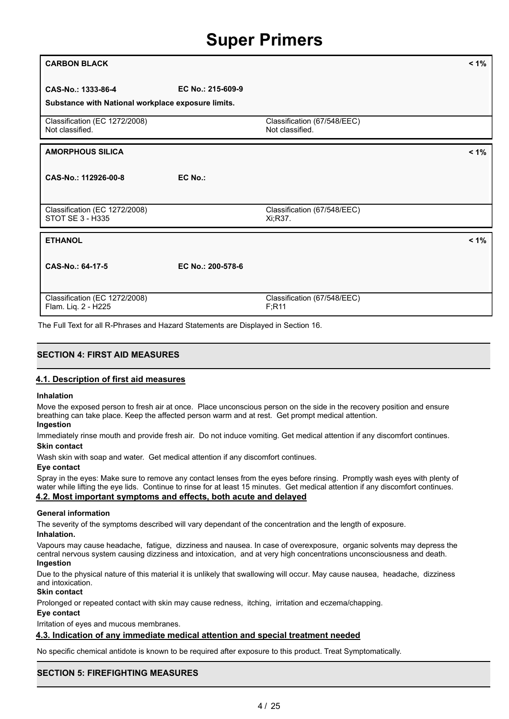| <b>CARBON BLACK</b>                                                      |                   |                                                | $< 1\%$ |
|--------------------------------------------------------------------------|-------------------|------------------------------------------------|---------|
| CAS-No.: 1333-86-4<br>Substance with National workplace exposure limits. | EC No.: 215-609-9 |                                                |         |
| Classification (EC 1272/2008)<br>Not classified.                         |                   | Classification (67/548/EEC)<br>Not classified. |         |
| <b>AMORPHOUS SILICA</b>                                                  |                   |                                                | $< 1\%$ |
| CAS-No.: 112926-00-8                                                     | EC No.:           |                                                |         |
| Classification (EC 1272/2008)<br>STOT SE 3 - H335                        |                   | Classification (67/548/EEC)<br>Xi;R37.         |         |
| <b>ETHANOL</b>                                                           |                   |                                                | $< 1\%$ |
| CAS-No.: 64-17-5                                                         | EC No.: 200-578-6 |                                                |         |
| Classification (EC 1272/2008)<br>Flam. Liq. 2 - H225                     |                   | Classification (67/548/EEC)<br>F; R11          |         |

The Full Text for all R-Phrases and Hazard Statements are Displayed in Section 16.

### **SECTION 4: FIRST AID MEASURES**

### **4.1. Description of first aid measures**

#### **Inhalation**

Move the exposed person to fresh air at once. Place unconscious person on the side in the recovery position and ensure breathing can take place. Keep the affected person warm and at rest. Get prompt medical attention.

### **Ingestion**

Immediately rinse mouth and provide fresh air. Do not induce vomiting. Get medical attention if any discomfort continues. **Skin contact**

Wash skin with soap and water. Get medical attention if any discomfort continues.

#### **Eye contact**

Spray in the eyes: Make sure to remove any contact lenses from the eyes before rinsing. Promptly wash eyes with plenty of water while lifting the eye lids. Continue to rinse for at least 15 minutes. Get medical attention if any discomfort continues. **4.2. Most important symptoms and effects, both acute and delayed**

### **General information**

The severity of the symptoms described will vary dependant of the concentration and the length of exposure. **Inhalation.**

Vapours may cause headache, fatigue, dizziness and nausea. In case of overexposure, organic solvents may depress the

central nervous system causing dizziness and intoxication, and at very high concentrations unconsciousness and death. **Ingestion**

Due to the physical nature of this material it is unlikely that swallowing will occur. May cause nausea, headache, dizziness and intoxication.

### **Skin contact**

Prolonged or repeated contact with skin may cause redness, itching, irritation and eczema/chapping.

### **Eye contact**

Irritation of eyes and mucous membranes.

### **4.3. Indication of any immediate medical attention and special treatment needed**

No specific chemical antidote is known to be required after exposure to this product. Treat Symptomatically.

### **SECTION 5: FIREFIGHTING MEASURES**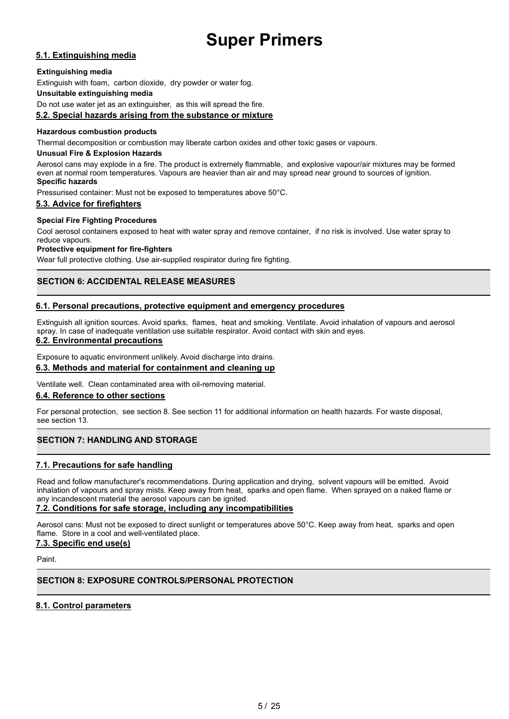### **5.1. Extinguishing media**

### **Extinguishing media**

Extinguish with foam, carbon dioxide, dry powder or water fog.

### **Unsuitable extinguishing media**

Do not use water jet as an extinguisher, as this will spread the fire.

### **5.2. Special hazards arising from the substance or mixture**

### **Hazardous combustion products**

Thermal decomposition or combustion may liberate carbon oxides and other toxic gases or vapours.

### **Unusual Fire & Explosion Hazards**

Aerosol cans may explode in a fire. The product is extremely flammable, and explosive vapour/air mixtures may be formed even at normal room temperatures. Vapours are heavier than air and may spread near ground to sources of ignition. **Specific hazards**

Pressurised container: Must not be exposed to temperatures above 50°C.

### **5.3. Advice for firefighters**

### **Special Fire Fighting Procedures**

Cool aerosol containers exposed to heat with water spray and remove container, if no risk is involved. Use water spray to reduce vapours.

### **Protective equipment for fire-fighters**

Wear full protective clothing. Use air-supplied respirator during fire fighting.

### **SECTION 6: ACCIDENTAL RELEASE MEASURES**

### **6.1. Personal precautions, protective equipment and emergency procedures**

Extinguish all ignition sources. Avoid sparks, flames, heat and smoking. Ventilate. Avoid inhalation of vapours and aerosol spray. In case of inadequate ventilation use suitable respirator. Avoid contact with skin and eyes.

### **6.2. Environmental precautions**

Exposure to aquatic environment unlikely. Avoid discharge into drains.

### **6.3. Methods and material for containment and cleaning up**

Ventilate well. Clean contaminated area with oil-removing material.

### **6.4. Reference to other sections**

For personal protection, see section 8. See section 11 for additional information on health hazards. For waste disposal, see section 13.

### **SECTION 7: HANDLING AND STORAGE**

### **7.1. Precautions for safe handling**

Read and follow manufacturer's recommendations. During application and drying, solvent vapours will be emitted. Avoid inhalation of vapours and spray mists. Keep away from heat, sparks and open flame. When sprayed on a naked flame or any incandescent material the aerosol vapours can be ignited.

### **7.2. Conditions for safe storage, including any incompatibilities**

Aerosol cans: Must not be exposed to direct sunlight or temperatures above 50°C. Keep away from heat, sparks and open flame. Store in a cool and well-ventilated place.

### **7.3. Specific end use(s)**

Paint.

### **SECTION 8: EXPOSURE CONTROLS/PERSONAL PROTECTION**

### **8.1. Control parameters**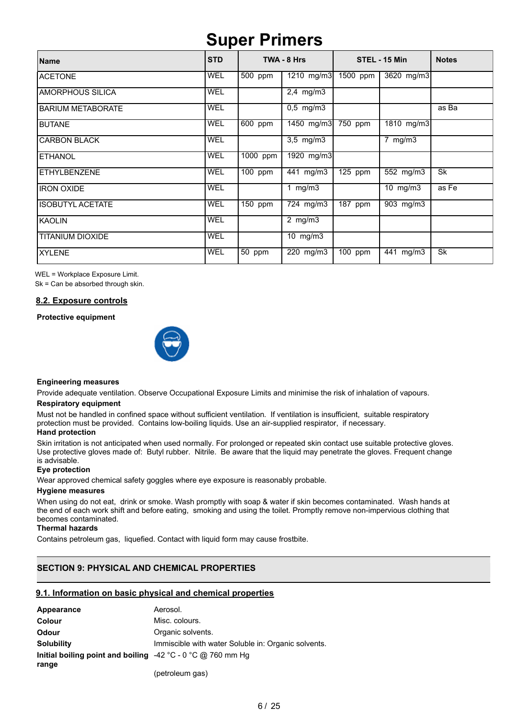| Name                     | <b>STD</b> |            | TWA - 8 Hrs             |                      | STEL - 15 Min           | <b>Notes</b> |
|--------------------------|------------|------------|-------------------------|----------------------|-------------------------|--------------|
| <b>ACETONE</b>           | <b>WEL</b> | 500 ppm    | $\overline{1210}$ mg/m3 | $1500$ ppm           | 3620 mg/m3              |              |
| <b>AMORPHOUS SILICA</b>  | <b>WEL</b> |            | $2,4$ mg/m $3$          |                      |                         |              |
| <b>BARIUM METABORATE</b> | <b>WEL</b> |            | $0,5$ mg/m3             |                      |                         | as Ba        |
| <b>BUTANE</b>            | <b>WEL</b> | $600$ ppm  | 1450 mg/m3              | $750$ ppm            | 1810 mg/m3              |              |
| <b>CARBON BLACK</b>      | <b>WEL</b> |            | $3,5$ mg/m $3$          |                      | mg/m3<br>$\overline{7}$ |              |
| <b>ETHANOL</b>           | <b>WEL</b> | $1000$ ppm | 1920 mg/m3              |                      |                         |              |
| <b>ETHYLBENZENE</b>      | <b>WEL</b> | 100 ppm    | 441 mg/m3               | $\overline{125}$ ppm | 552 mg/m3               | <b>Sk</b>    |
| <b>IRON OXIDE</b>        | <b>WEL</b> |            | 1 $mg/m3$               |                      | $10$ mg/m $3$           | as Fe        |
| <b>ISOBUTYL ACETATE</b>  | <b>WEL</b> | $150$ ppm  | 724 mg/m3               | $\overline{187}$ ppm | 903 mg/m3               |              |
| <b>KAOLIN</b>            | <b>WEL</b> |            | $2$ mg/m $3$            |                      |                         |              |
| <b>TITANIUM DIOXIDE</b>  | <b>WEL</b> |            | 10 $mg/m3$              |                      |                         |              |
| <b>XYLENE</b>            | <b>WEL</b> | 50 ppm     | 220 mg/m3               | $100$ ppm            | 441 mg/m3               | Sk           |

WEL = Workplace Exposure Limit.

Sk = Can be absorbed through skin.

### **8.2. Exposure controls**

**Protective equipment**



#### **Engineering measures**

Provide adequate ventilation. Observe Occupational Exposure Limits and minimise the risk of inhalation of vapours. **Respiratory equipment**

### Must not be handled in confined space without sufficient ventilation. If ventilation is insufficient, suitable respiratory protection must be provided. Contains low-boiling liquids. Use an air-supplied respirator, if necessary.

### **Hand protection**

Skin irritation is not anticipated when used normally. For prolonged or repeated skin contact use suitable protective gloves. Use protective gloves made of: Butyl rubber. Nitrile. Be aware that the liquid may penetrate the gloves. Frequent change is advisable.

### **Eye protection**

Wear approved chemical safety goggles where eye exposure is reasonably probable.

#### **Hygiene measures**

When using do not eat, drink or smoke. Wash promptly with soap & water if skin becomes contaminated. Wash hands at the end of each work shift and before eating, smoking and using the toilet. Promptly remove non-impervious clothing that becomes contaminated.

### **Thermal hazards**

Contains petroleum gas, liquefied. Contact with liquid form may cause frostbite.

### **SECTION 9: PHYSICAL AND CHEMICAL PROPERTIES**

### **9.1. Information on basic physical and chemical properties**

| Appearance                                                                            | Aerosol.                                            |
|---------------------------------------------------------------------------------------|-----------------------------------------------------|
| <b>Colour</b>                                                                         | Misc. colours.                                      |
| <b>Odour</b>                                                                          | Organic solvents.                                   |
| <b>Solubility</b>                                                                     | Immiscible with water Soluble in: Organic solvents. |
| Initial boiling point and boiling $-42\degree$ C - 0 $\degree$ C @ 760 mm Hg<br>range |                                                     |
|                                                                                       | (petroleum gas)                                     |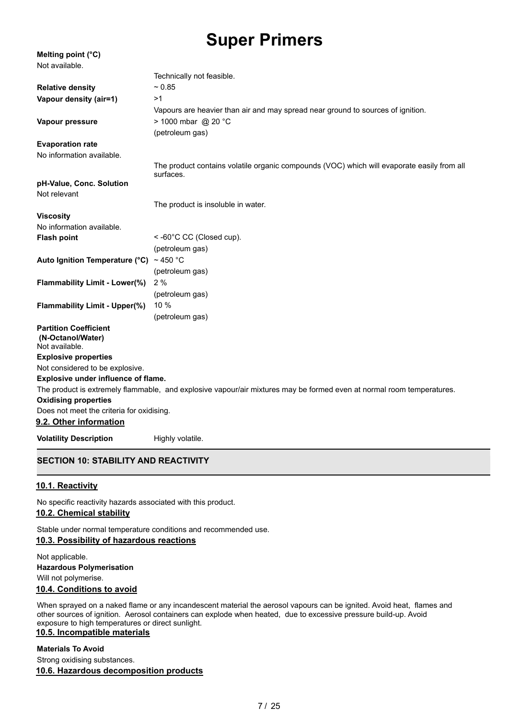| Melting point (°C)                                                  |                                                                                                                       |
|---------------------------------------------------------------------|-----------------------------------------------------------------------------------------------------------------------|
| Not available.                                                      |                                                                                                                       |
|                                                                     | Technically not feasible.                                                                                             |
| <b>Relative density</b>                                             | $~1$ 0.85                                                                                                             |
| Vapour density (air=1)                                              | >1                                                                                                                    |
|                                                                     | Vapours are heavier than air and may spread near ground to sources of ignition.                                       |
| Vapour pressure                                                     | $> 1000$ mbar @ 20 °C                                                                                                 |
|                                                                     | (petroleum gas)                                                                                                       |
| <b>Evaporation rate</b>                                             |                                                                                                                       |
| No information available.                                           |                                                                                                                       |
|                                                                     | The product contains volatile organic compounds (VOC) which will evaporate easily from all<br>surfaces.               |
| pH-Value, Conc. Solution                                            |                                                                                                                       |
| Not relevant                                                        |                                                                                                                       |
|                                                                     | The product is insoluble in water.                                                                                    |
| <b>Viscosity</b>                                                    |                                                                                                                       |
| No information available.                                           |                                                                                                                       |
| <b>Flash point</b>                                                  | <-60°C CC (Closed cup).                                                                                               |
|                                                                     | (petroleum gas)                                                                                                       |
| Auto Ignition Temperature (°C) ~ 450 °C                             |                                                                                                                       |
|                                                                     | (petroleum gas)                                                                                                       |
| Flammability Limit - Lower(%)                                       | 2%                                                                                                                    |
|                                                                     | (petroleum gas)                                                                                                       |
| <b>Flammability Limit - Upper(%)</b>                                | 10 %                                                                                                                  |
|                                                                     | (petroleum gas)                                                                                                       |
| <b>Partition Coefficient</b><br>(N-Octanol/Water)<br>Not available. |                                                                                                                       |
| <b>Explosive properties</b>                                         |                                                                                                                       |
| Not considered to be explosive.                                     |                                                                                                                       |
| Explosive under influence of flame.                                 |                                                                                                                       |
|                                                                     | The product is extremely flammable, and explosive vapour/air mixtures may be formed even at normal room temperatures. |
| <b>Oxidising properties</b>                                         |                                                                                                                       |
| Does not meet the criteria for oxidising.                           |                                                                                                                       |
| 9.2. Other information                                              |                                                                                                                       |
| <b>Volatility Description</b>                                       | Highly volatile.                                                                                                      |

### **SECTION 10: STABILITY AND REACTIVITY**

### **10.1. Reactivity**

No specific reactivity hazards associated with this product.

### **10.2. Chemical stability**

Stable under normal temperature conditions and recommended use.

### **10.3. Possibility of hazardous reactions**

Not applicable. **Hazardous Polymerisation** Will not polymerise.

### **10.4. Conditions to avoid**

When sprayed on a naked flame or any incandescent material the aerosol vapours can be ignited. Avoid heat, flames and other sources of ignition. Aerosol containers can explode when heated, due to excessive pressure build-up. Avoid exposure to high temperatures or direct sunlight.

### **10.5. Incompatible materials**

### **Materials To Avoid**

Strong oxidising substances.

### **10.6. Hazardous decomposition products**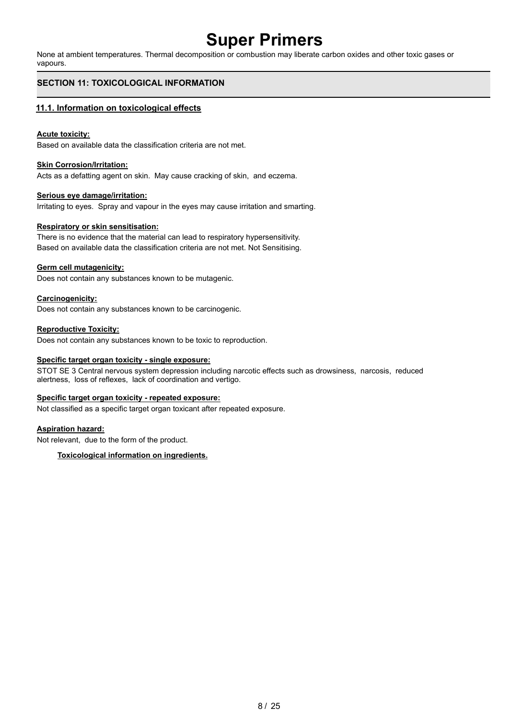None at ambient temperatures. Thermal decomposition or combustion may liberate carbon oxides and other toxic gases or vapours.

### **SECTION 11: TOXICOLOGICAL INFORMATION**

### **11.1. Information on toxicological effects**

### **Acute toxicity:**

Based on available data the classification criteria are not met.

### **Skin Corrosion/Irritation:**

Acts as a defatting agent on skin. May cause cracking of skin, and eczema.

### **Serious eye damage/irritation:**

Irritating to eyes. Spray and vapour in the eyes may cause irritation and smarting.

### **Respiratory or skin sensitisation:**

There is no evidence that the material can lead to respiratory hypersensitivity. Based on available data the classification criteria are not met. Not Sensitising.

### **Germ cell mutagenicity:**

Does not contain any substances known to be mutagenic.

### **Carcinogenicity:**

Does not contain any substances known to be carcinogenic.

### **Reproductive Toxicity:**

Does not contain any substances known to be toxic to reproduction.

#### **Specific target organ toxicity - single exposure:**

STOT SE 3 Central nervous system depression including narcotic effects such as drowsiness, narcosis, reduced alertness, loss of reflexes, lack of coordination and vertigo.

#### **Specific target organ toxicity - repeated exposure:**

Not classified as a specific target organ toxicant after repeated exposure.

### **Aspiration hazard:**

Not relevant, due to the form of the product.

### **Toxicological information on ingredients.**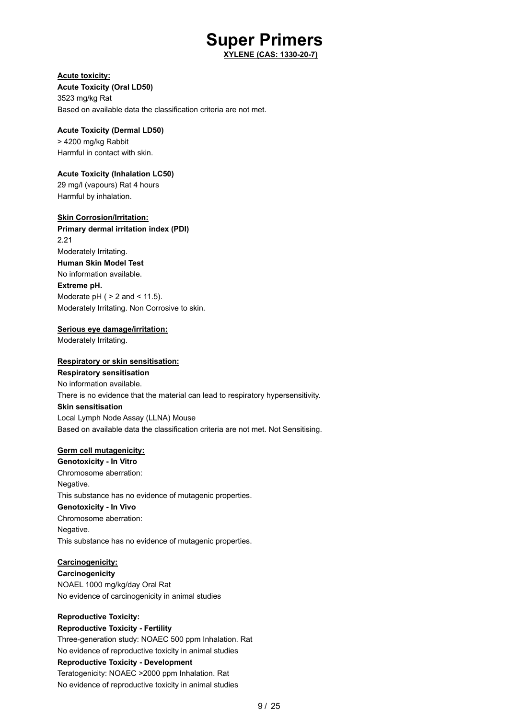**XYLENE (CAS: 1330-20-7)**

### **Acute toxicity:**

**Acute Toxicity (Oral LD50)** 3523 mg/kg Rat Based on available data the classification criteria are not met.

### **Acute Toxicity (Dermal LD50)** > 4200 mg/kg Rabbit

Harmful in contact with skin.

### **Acute Toxicity (Inhalation LC50)**

29 mg/l (vapours) Rat 4 hours Harmful by inhalation.

### **Skin Corrosion/Irritation:**

**Primary dermal irritation index (PDI)** 2.21 Moderately Irritating. **Human Skin Model Test** No information available. **Extreme pH.** Moderate  $pH$  (  $> 2$  and  $< 11.5$ ). Moderately Irritating. Non Corrosive to skin.

### **Serious eye damage/irritation:**

Moderately Irritating.

### **Respiratory or skin sensitisation:**

**Respiratory sensitisation** No information available. There is no evidence that the material can lead to respiratory hypersensitivity. **Skin sensitisation** Local Lymph Node Assay (LLNA) Mouse Based on available data the classification criteria are not met. Not Sensitising.

### **Germ cell mutagenicity:**

**Genotoxicity - In Vitro** Chromosome aberration: Negative. This substance has no evidence of mutagenic properties. **Genotoxicity - In Vivo** Chromosome aberration: Negative. This substance has no evidence of mutagenic properties.

### **Carcinogenicity:**

**Carcinogenicity** NOAEL 1000 mg/kg/day Oral Rat No evidence of carcinogenicity in animal studies

### **Reproductive Toxicity:**

**Reproductive Toxicity - Fertility** Three-generation study: NOAEC 500 ppm Inhalation. Rat No evidence of reproductive toxicity in animal studies **Reproductive Toxicity - Development** Teratogenicity: NOAEC >2000 ppm Inhalation. Rat No evidence of reproductive toxicity in animal studies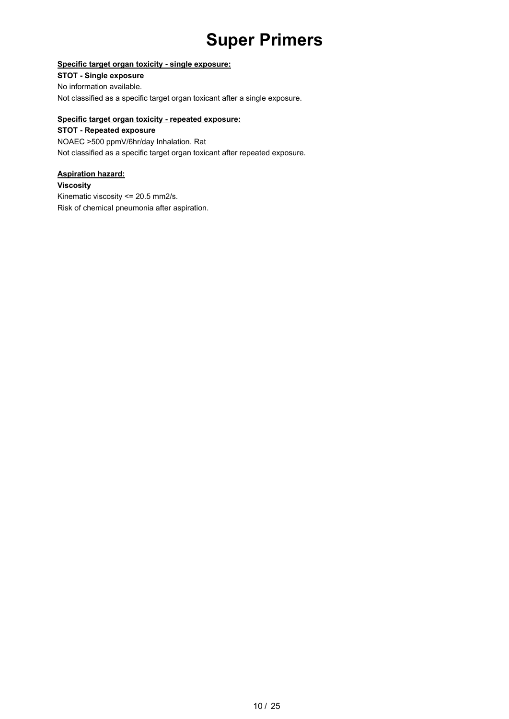### **Specific target organ toxicity - single exposure:**

**STOT - Single exposure** No information available. Not classified as a specific target organ toxicant after a single exposure.

### **Specific target organ toxicity - repeated exposure:**

**STOT - Repeated exposure** NOAEC >500 ppmV/6hr/day Inhalation. Rat Not classified as a specific target organ toxicant after repeated exposure.

### **Aspiration hazard:**

**Viscosity**

Kinematic viscosity <= 20.5 mm2/s. Risk of chemical pneumonia after aspiration.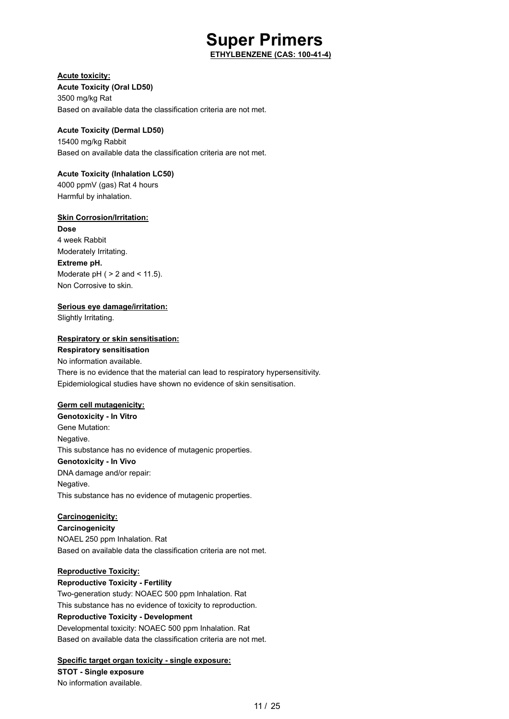**ETHYLBENZENE (CAS: 100-41-4)**

### **Acute toxicity:**

**Acute Toxicity (Oral LD50)** 3500 mg/kg Rat Based on available data the classification criteria are not met.

### **Acute Toxicity (Dermal LD50)**

15400 mg/kg Rabbit Based on available data the classification criteria are not met.

### **Acute Toxicity (Inhalation LC50)**

4000 ppmV (gas) Rat 4 hours Harmful by inhalation.

### **Skin Corrosion/Irritation:**

**Dose** 4 week Rabbit Moderately Irritating. **Extreme pH.** Moderate  $pH$  (  $> 2$  and  $< 11.5$ ). Non Corrosive to skin.

### **Serious eye damage/irritation:**

Slightly Irritating.

### **Respiratory or skin sensitisation:**

**Respiratory sensitisation** No information available. There is no evidence that the material can lead to respiratory hypersensitivity. Epidemiological studies have shown no evidence of skin sensitisation.

### **Germ cell mutagenicity:**

**Genotoxicity - In Vitro** Gene Mutation: Negative. This substance has no evidence of mutagenic properties. **Genotoxicity - In Vivo** DNA damage and/or repair: Negative. This substance has no evidence of mutagenic properties.

### **Carcinogenicity:**

**Carcinogenicity** NOAEL 250 ppm Inhalation. Rat Based on available data the classification criteria are not met.

### **Reproductive Toxicity:**

**Reproductive Toxicity - Fertility** Two-generation study: NOAEC 500 ppm Inhalation. Rat This substance has no evidence of toxicity to reproduction. **Reproductive Toxicity - Development** Developmental toxicity: NOAEC 500 ppm Inhalation. Rat Based on available data the classification criteria are not met.

### **Specific target organ toxicity - single exposure:**

**STOT - Single exposure** No information available.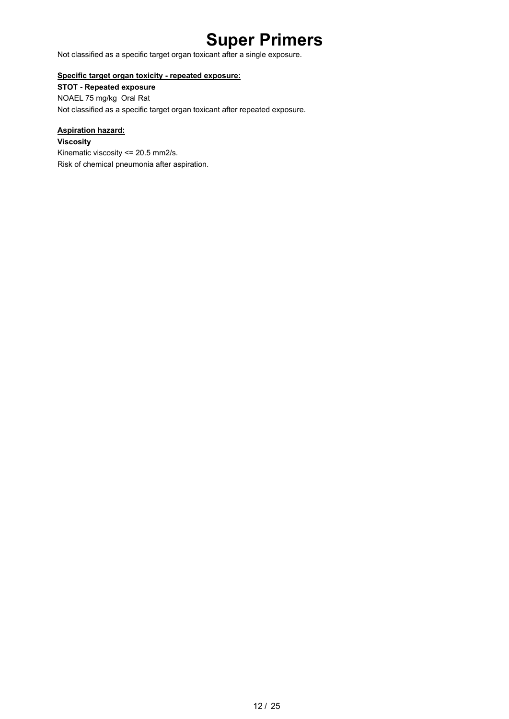Not classified as a specific target organ toxicant after a single exposure.

### **Specific target organ toxicity - repeated exposure:**

**STOT - Repeated exposure** NOAEL 75 mg/kg Oral Rat Not classified as a specific target organ toxicant after repeated exposure.

### **Aspiration hazard:**

**Viscosity** Kinematic viscosity <= 20.5 mm2/s. Risk of chemical pneumonia after aspiration.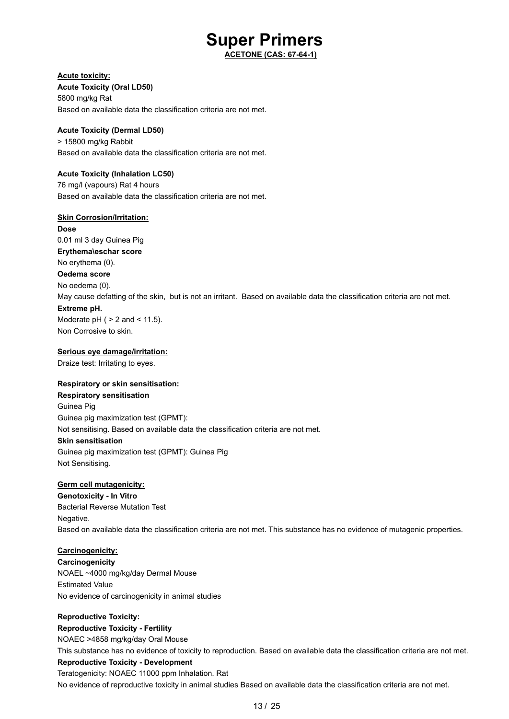**ACETONE (CAS: 67-64-1)**

### **Acute toxicity:**

**Acute Toxicity (Oral LD50)** 5800 mg/kg Rat Based on available data the classification criteria are not met.

### **Acute Toxicity (Dermal LD50)**

> 15800 mg/kg Rabbit Based on available data the classification criteria are not met.

### **Acute Toxicity (Inhalation LC50)**

76 mg/l (vapours) Rat 4 hours Based on available data the classification criteria are not met.

### **Skin Corrosion/Irritation:**

**Dose** 0.01 ml 3 day Guinea Pig **Erythema\eschar score** No erythema (0). **Oedema score** No oedema (0). May cause defatting of the skin, but is not an irritant. Based on available data the classification criteria are not met. **Extreme pH.** Moderate  $pH$  (  $> 2$  and  $< 11.5$ ).

### **Serious eye damage/irritation:**

Draize test: Irritating to eyes.

Non Corrosive to skin.

### **Respiratory or skin sensitisation:**

**Respiratory sensitisation** Guinea Pig Guinea pig maximization test (GPMT): Not sensitising. Based on available data the classification criteria are not met. **Skin sensitisation** Guinea pig maximization test (GPMT): Guinea Pig Not Sensitising.

### **Germ cell mutagenicity:**

**Genotoxicity - In Vitro** Bacterial Reverse Mutation Test Negative. Based on available data the classification criteria are not met. This substance has no evidence of mutagenic properties.

### **Carcinogenicity:**

**Carcinogenicity** NOAEL ~4000 mg/kg/day Dermal Mouse Estimated Value No evidence of carcinogenicity in animal studies

### **Reproductive Toxicity:**

**Reproductive Toxicity - Fertility** NOAEC >4858 mg/kg/day Oral Mouse This substance has no evidence of toxicity to reproduction. Based on available data the classification criteria are not met. **Reproductive Toxicity - Development** Teratogenicity: NOAEC 11000 ppm Inhalation. Rat No evidence of reproductive toxicity in animal studies Based on available data the classification criteria are not met.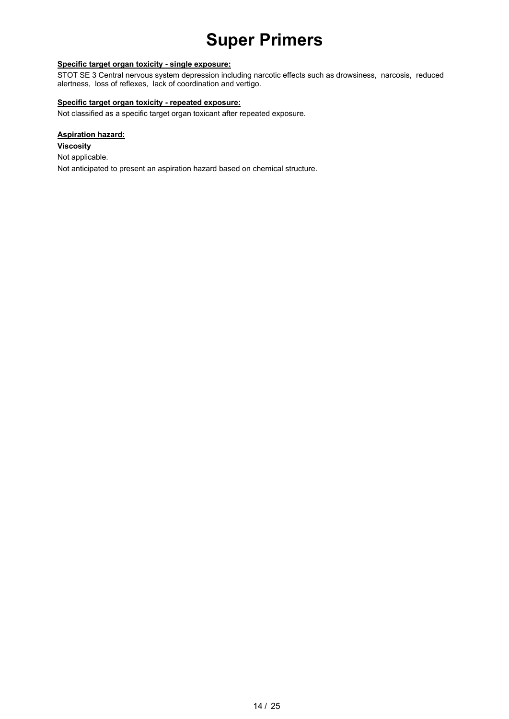### **Specific target organ toxicity - single exposure:**

STOT SE 3 Central nervous system depression including narcotic effects such as drowsiness, narcosis, reduced alertness, loss of reflexes, lack of coordination and vertigo.

### **Specific target organ toxicity - repeated exposure:**

Not classified as a specific target organ toxicant after repeated exposure.

### **Aspiration hazard:**

**Viscosity** Not applicable. Not anticipated to present an aspiration hazard based on chemical structure.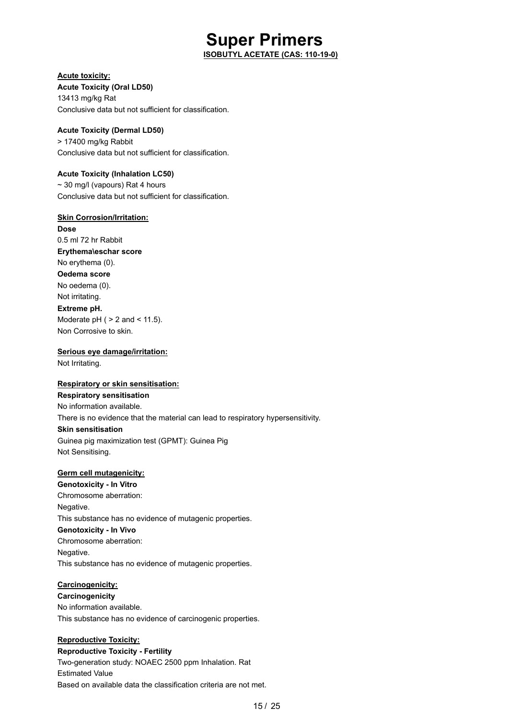**ISOBUTYL ACETATE (CAS: 110-19-0)**

### **Acute toxicity:**

**Acute Toxicity (Oral LD50)** 13413 mg/kg Rat Conclusive data but not sufficient for classification.

### **Acute Toxicity (Dermal LD50)**

> 17400 mg/kg Rabbit Conclusive data but not sufficient for classification.

### **Acute Toxicity (Inhalation LC50)**

~ 30 mg/l (vapours) Rat 4 hours Conclusive data but not sufficient for classification.

### **Skin Corrosion/Irritation:**

**Dose** 0.5 ml 72 hr Rabbit **Erythema\eschar score** No erythema (0). **Oedema score** No oedema (0). Not irritating. **Extreme pH.** Moderate  $pH$  (  $> 2$  and  $< 11.5$ ). Non Corrosive to skin.

### **Serious eye damage/irritation:** Not Irritating.

### **Respiratory or skin sensitisation:**

**Respiratory sensitisation** No information available. There is no evidence that the material can lead to respiratory hypersensitivity. **Skin sensitisation** Guinea pig maximization test (GPMT): Guinea Pig Not Sensitising.

### **Germ cell mutagenicity:**

**Genotoxicity - In Vitro** Chromosome aberration: Negative. This substance has no evidence of mutagenic properties. **Genotoxicity - In Vivo** Chromosome aberration: Negative. This substance has no evidence of mutagenic properties.

### **Carcinogenicity:**

**Carcinogenicity** No information available. This substance has no evidence of carcinogenic properties.

### **Reproductive Toxicity:**

**Reproductive Toxicity - Fertility** Two-generation study: NOAEC 2500 ppm Inhalation. Rat Estimated Value Based on available data the classification criteria are not met.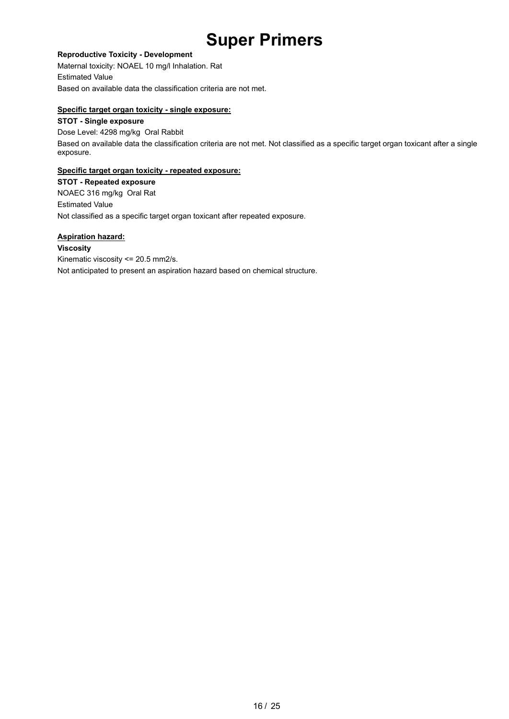### **Reproductive Toxicity - Development**

Maternal toxicity: NOAEL 10 mg/l Inhalation. Rat Estimated Value Based on available data the classification criteria are not met.

### **Specific target organ toxicity - single exposure:**

### **STOT - Single exposure**

Dose Level: 4298 mg/kg Oral Rabbit Based on available data the classification criteria are not met. Not classified as a specific target organ toxicant after a single exposure.

### **Specific target organ toxicity - repeated exposure:**

**STOT - Repeated exposure** NOAEC 316 mg/kg Oral Rat Estimated Value Not classified as a specific target organ toxicant after repeated exposure.

### **Aspiration hazard:**

**Viscosity** Kinematic viscosity <= 20.5 mm2/s. Not anticipated to present an aspiration hazard based on chemical structure.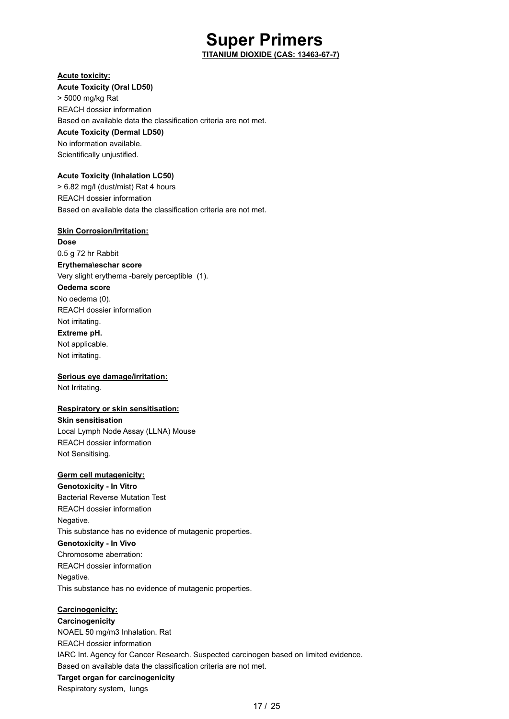**TITANIUM DIOXIDE (CAS: 13463-67-7)**

### **Acute toxicity:**

**Acute Toxicity (Oral LD50)** > 5000 mg/kg Rat REACH dossier information Based on available data the classification criteria are not met. **Acute Toxicity (Dermal LD50)** No information available. Scientifically unjustified.

### **Acute Toxicity (Inhalation LC50)**

> 6.82 mg/l (dust/mist) Rat 4 hours REACH dossier information Based on available data the classification criteria are not met.

### **Skin Corrosion/Irritation:**

**Dose** 0.5 g 72 hr Rabbit **Erythema\eschar score** Very slight erythema -barely perceptible (1). **Oedema score** No oedema (0). REACH dossier information Not irritating. **Extreme pH.** Not applicable. Not irritating.

### **Serious eye damage/irritation:**

Not Irritating.

### **Respiratory or skin sensitisation:**

**Skin sensitisation** Local Lymph Node Assay (LLNA) Mouse REACH dossier information Not Sensitising.

### **Germ cell mutagenicity:**

**Genotoxicity - In Vitro** Bacterial Reverse Mutation Test REACH dossier information Negative. This substance has no evidence of mutagenic properties. **Genotoxicity - In Vivo** Chromosome aberration: REACH dossier information Negative. This substance has no evidence of mutagenic properties.

### **Carcinogenicity:**

**Carcinogenicity** NOAEL 50 mg/m3 Inhalation. Rat REACH dossier information IARC Int. Agency for Cancer Research. Suspected carcinogen based on limited evidence. Based on available data the classification criteria are not met. **Target organ for carcinogenicity** Respiratory system, lungs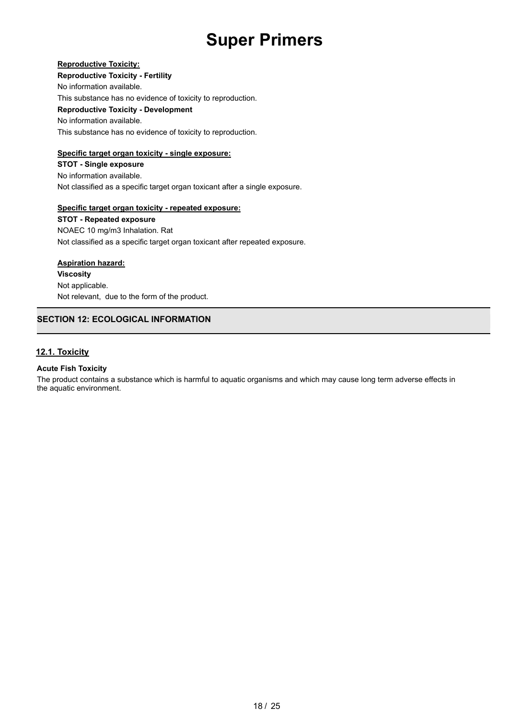### **Reproductive Toxicity:**

**Reproductive Toxicity - Fertility**

No information available.

This substance has no evidence of toxicity to reproduction.

**Reproductive Toxicity - Development**

No information available.

This substance has no evidence of toxicity to reproduction.

### **Specific target organ toxicity - single exposure:**

**STOT - Single exposure** No information available. Not classified as a specific target organ toxicant after a single exposure.

### **Specific target organ toxicity - repeated exposure:**

**STOT - Repeated exposure** NOAEC 10 mg/m3 Inhalation. Rat Not classified as a specific target organ toxicant after repeated exposure.

### **Aspiration hazard:**

**Viscosity** Not applicable. Not relevant, due to the form of the product.

### **SECTION 12: ECOLOGICAL INFORMATION**

### **12.1. Toxicity**

### **Acute Fish Toxicity**

The product contains a substance which is harmful to aquatic organisms and which may cause long term adverse effects in the aquatic environment.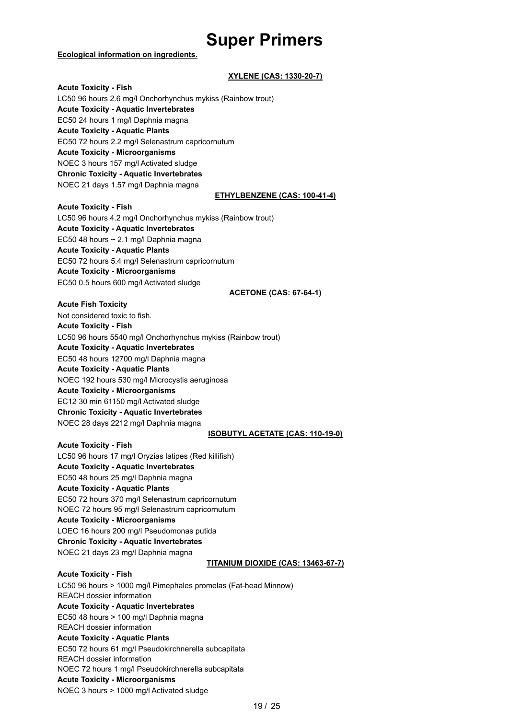#### **Ecological information on ingredients.**

### **XYLENE (CAS: 1330-20-7)**

**Acute Toxicity - Fish** LC50 96 hours 2.6 mg/l Onchorhynchus mykiss (Rainbow trout) **Acute Toxicity - Aquatic Invertebrates** EC50 24 hours 1 mg/l Daphnia magna **Acute Toxicity - Aquatic Plants** EC50 72 hours 2.2 mg/l Selenastrum capricornutum **Acute Toxicity - Microorganisms** NOEC 3 hours 157 mg/l Activated sludge **Chronic Toxicity - Aquatic Invertebrates** NOEC 21 days 1.57 mg/l Daphnia magna

#### **ETHYLBENZENE (CAS: 100-41-4)**

**Acute Toxicity - Fish** LC50 96 hours 4.2 mg/l Onchorhynchus mykiss (Rainbow trout) **Acute Toxicity - Aquatic Invertebrates** EC50 48 hours ~ 2.1 mg/l Daphnia magna **Acute Toxicity - Aquatic Plants** EC50 72 hours 5.4 mg/l Selenastrum capricornutum **Acute Toxicity - Microorganisms** EC50 0.5 hours 600 mg/l Activated sludge

#### **ACETONE (CAS: 67-64-1)**

**Acute Fish Toxicity**

Not considered toxic to fish. **Acute Toxicity - Fish** LC50 96 hours 5540 mg/l Onchorhynchus mykiss (Rainbow trout) **Acute Toxicity - Aquatic Invertebrates** EC50 48 hours 12700 mg/l Daphnia magna **Acute Toxicity - Aquatic Plants** NOEC 192 hours 530 mg/l Microcystis aeruginosa **Acute Toxicity - Microorganisms** EC12 30 min 61150 mg/l Activated sludge **Chronic Toxicity - Aquatic Invertebrates** NOEC 28 days 2212 mg/l Daphnia magna

#### **ISOBUTYL ACETATE (CAS: 110-19-0)**

**Acute Toxicity - Fish** LC50 96 hours 17 mg/l Oryzias latipes (Red killifish) **Acute Toxicity - Aquatic Invertebrates** EC50 48 hours 25 mg/l Daphnia magna **Acute Toxicity - Aquatic Plants** EC50 72 hours 370 mg/l Selenastrum capricornutum NOEC 72 hours 95 mg/l Selenastrum capricornutum **Acute Toxicity - Microorganisms** LOEC 16 hours 200 mg/l Pseudomonas putida **Chronic Toxicity - Aquatic Invertebrates** NOEC 21 days 23 mg/l Daphnia magna **TITANIUM DIOXIDE (CAS: 13463-67-7) Acute Toxicity - Fish** LC50 96 hours > 1000 mg/l Pimephales promelas (Fat-head Minnow) REACH dossier information **Acute Toxicity - Aquatic Invertebrates** EC50 48 hours > 100 mg/l Daphnia magna REACH dossier information **Acute Toxicity - Aquatic Plants** EC50 72 hours 61 mg/l Pseudokirchnerella subcapitata REACH dossier information NOEC 72 hours 1 mg/l Pseudokirchnerella subcapitata

### **Acute Toxicity - Microorganisms**

NOEC 3 hours > 1000 mg/l Activated sludge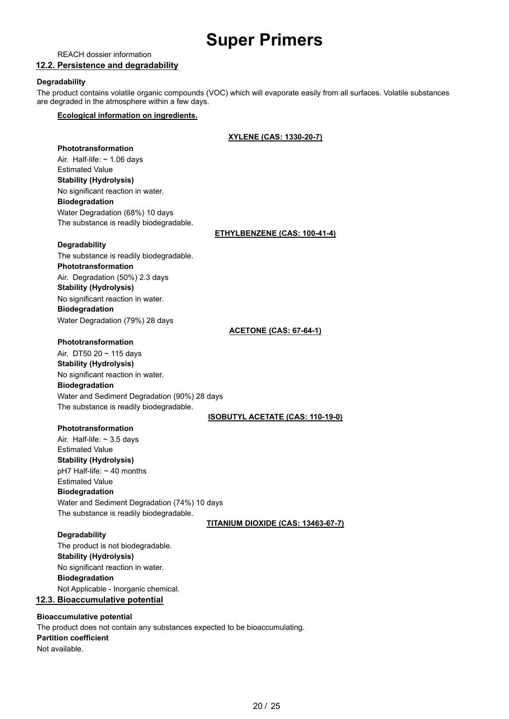REACH dossier information

### **12.2. Persistence and degradability**

### **Degradability**

The product contains volatile organic compounds (VOC) which will evaporate easily from all surfaces. Volatile substances are degraded in the atmosphere within a few days.

### **Ecological information on ingredients.**

### **XYLENE (CAS: 1330-20-7)**

**Phototransformation** Air. Half-life:  $\sim$  1.06 days Estimated Value **Stability (Hydrolysis)** No significant reaction in water. **Biodegradation** Water Degradation (68%) 10 days The substance is readily biodegradable.

### **ETHYLBENZENE (CAS: 100-41-4)**

### **Degradability**

The substance is readily biodegradable. **Phototransformation** Air. Degradation (50%) 2.3 days **Stability (Hydrolysis)** No significant reaction in water. **Biodegradation** Water Degradation (79%) 28 days

### **ACETONE (CAS: 67-64-1)**

### **Phototransformation**

Air. DT50 20 ~ 115 days **Stability (Hydrolysis)** No significant reaction in water. **Biodegradation** Water and Sediment Degradation (90%) 28 days The substance is readily biodegradable.

### **ISOBUTYL ACETATE (CAS: 110-19-0)**

**Phototransformation** Air. Half-life:  $\sim$  3.5 days Estimated Value **Stability (Hydrolysis)** pH7 Half-life: ~ 40 months Estimated Value **Biodegradation**

Water and Sediment Degradation (74%) 10 days The substance is readily biodegradable.

**TITANIUM DIOXIDE (CAS: 13463-67-7)**

### **Degradability**

The product is not biodegradable. **Stability (Hydrolysis)** No significant reaction in water. **Biodegradation** Not Applicable - Inorganic chemical. **12.3. Bioaccumulative potential**

### **Bioaccumulative potential**

The product does not contain any substances expected to be bioaccumulating. **Partition coefficient** Not available.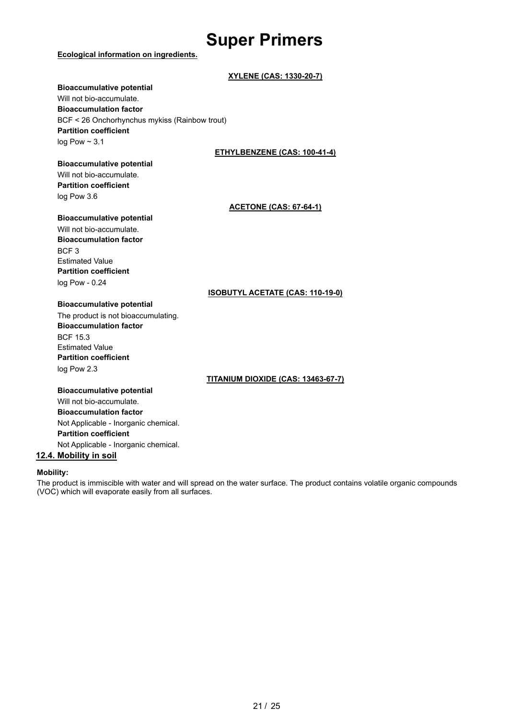### **Ecological information on ingredients.**

### **Bioaccumulative potential** Will not bio-accumulate. **Bioaccumulation factor** BCF < 26 Onchorhynchus mykiss (Rainbow trout) **Partition coefficient** log Pow  $\sim$  3.1

### **ETHYLBENZENE (CAS: 100-41-4)**

**XYLENE (CAS: 1330-20-7)**

### **Bioaccumulative potential** Will not bio-accumulate.

**Partition coefficient** log Pow 3.6

### **ACETONE (CAS: 67-64-1)**

### **Bioaccumulative potential**

Will not bio-accumulate. **Bioaccumulation factor** BCF 3 Estimated Value **Partition coefficient** log Pow - 0.24

### **ISOBUTYL ACETATE (CAS: 110-19-0)**

### **Bioaccumulative potential**

The product is not bioaccumulating. **Bioaccumulation factor** BCF 15.3 Estimated Value **Partition coefficient** log Pow 2.3

### **TITANIUM DIOXIDE (CAS: 13463-67-7)**

**Bioaccumulative potential** Will not bio-accumulate. **Bioaccumulation factor** Not Applicable - Inorganic chemical. **Partition coefficient** Not Applicable - Inorganic chemical.

### **12.4. Mobility in soil**

### **Mobility:**

The product is immiscible with water and will spread on the water surface. The product contains volatile organic compounds (VOC) which will evaporate easily from all surfaces.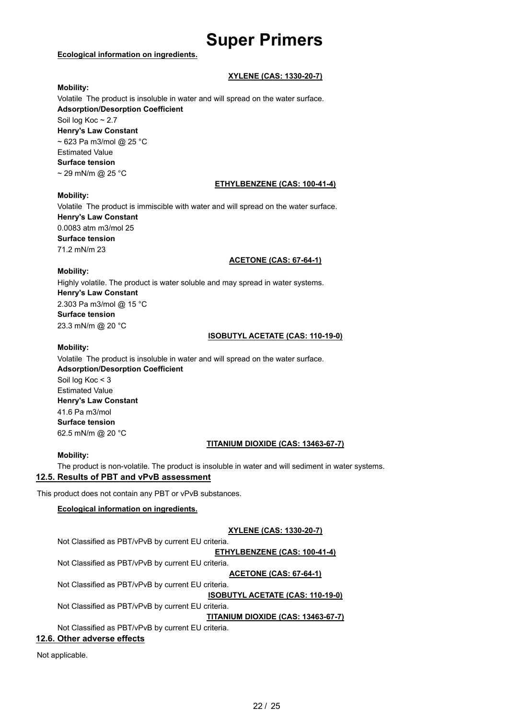### **Ecological information on ingredients.**

### **XYLENE (CAS: 1330-20-7)**

### **Mobility:**

Volatile The product is insoluble in water and will spread on the water surface. **Adsorption/Desorption Coefficient** Soil log Koc ~ 2.7 **Henry's Law Constant** ~ 623 Pa m3/mol @ 25 °C Estimated Value **Surface tension**  $\sim$  29 mN/m @ 25 °C **ETHYLBENZENE (CAS: 100-41-4)**

### **Mobility:**

Volatile The product is immiscible with water and will spread on the water surface. **Henry's Law Constant** 0.0083 atm m3/mol 25 **Surface tension** 71.2 mN/m 23

### **ACETONE (CAS: 67-64-1)**

### **Mobility:**

Highly volatile. The product is water soluble and may spread in water systems. **Henry's Law Constant** 2.303 Pa m3/mol @ 15 °C **Surface tension** 23.3 mN/m @ 20 °C

### **ISOBUTYL ACETATE (CAS: 110-19-0)**

### **Mobility:**

Volatile The product is insoluble in water and will spread on the water surface. **Adsorption/Desorption Coefficient** Soil log Koc < 3 Estimated Value **Henry's Law Constant**

41.6 Pa m3/mol **Surface tension** 62.5 mN/m @ 20 °C

### **TITANIUM DIOXIDE (CAS: 13463-67-7)**

### **Mobility:**

The product is non-volatile. The product is insoluble in water and will sediment in water systems. **12.5. Results of PBT and vPvB assessment**

This product does not contain any PBT or vPvB substances.

### **Ecological information on ingredients.**

### **XYLENE (CAS: 1330-20-7)**

Not Classified as PBT/vPvB by current EU criteria.

**ETHYLBENZENE (CAS: 100-41-4)**

Not Classified as PBT/vPvB by current EU criteria.

**ACETONE (CAS: 67-64-1)**

Not Classified as PBT/vPvB by current EU criteria.

**ISOBUTYL ACETATE (CAS: 110-19-0)**

Not Classified as PBT/vPvB by current EU criteria.

**TITANIUM DIOXIDE (CAS: 13463-67-7)**

Not Classified as PBT/vPvB by current EU criteria.

### **12.6. Other adverse effects**

Not applicable.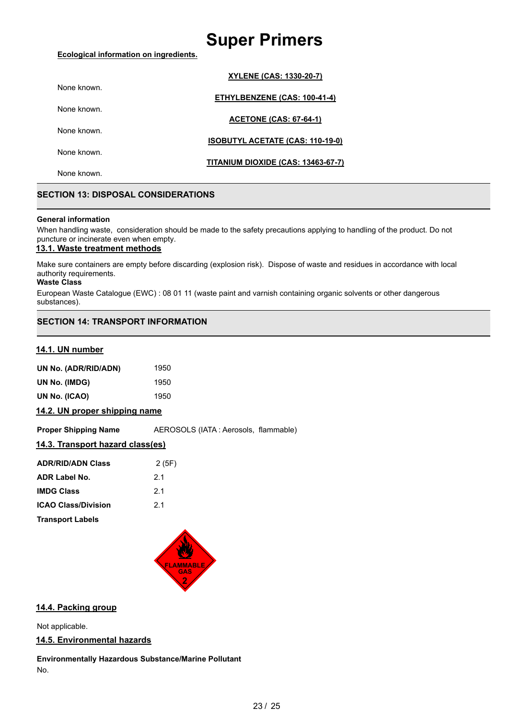### **Ecological information on ingredients.**

|             | <b>XYLENE (CAS: 1330-20-7)</b>          |
|-------------|-----------------------------------------|
| None known. |                                         |
| None known. | ETHYLBENZENE (CAS: 100-41-4)            |
|             | <b>ACETONE (CAS: 67-64-1)</b>           |
| None known. |                                         |
| None known. | <b>ISOBUTYL ACETATE (CAS: 110-19-0)</b> |
|             | TITANIUM DIOXIDE (CAS: 13463-67-7)      |
| None known. |                                         |

### **SECTION 13: DISPOSAL CONSIDERATIONS**

### **General information**

When handling waste, consideration should be made to the safety precautions applying to handling of the product. Do not puncture or incinerate even when empty.

### **13.1. Waste treatment methods**

Make sure containers are empty before discarding (explosion risk). Dispose of waste and residues in accordance with local authority requirements.

#### **Waste Class**

European Waste Catalogue (EWC) : 08 01 11 (waste paint and varnish containing organic solvents or other dangerous substances).

### **SECTION 14: TRANSPORT INFORMATION**

### **14.1. UN number**

| UN No. (ADR/RID/ADN) | 1950 |
|----------------------|------|
| UN No. (IMDG)        | 1950 |
| UN No. (ICAO)        | 1950 |

**14.2. UN proper shipping name**

**Proper Shipping Name** AEROSOLS (IATA : Aerosols, flammable)

### **14.3. Transport hazard class(es)**

| <b>ADR/RID/ADN Class</b>   | 2(5F) |
|----------------------------|-------|
| <b>ADR Label No.</b>       | 21    |
| <b>IMDG Class</b>          | 21    |
| <b>ICAO Class/Division</b> | 21    |
| <b>Transport Labels</b>    |       |



### **14.4. Packing group**

Not applicable.

### **14.5. Environmental hazards**

**Environmentally Hazardous Substance/Marine Pollutant** No.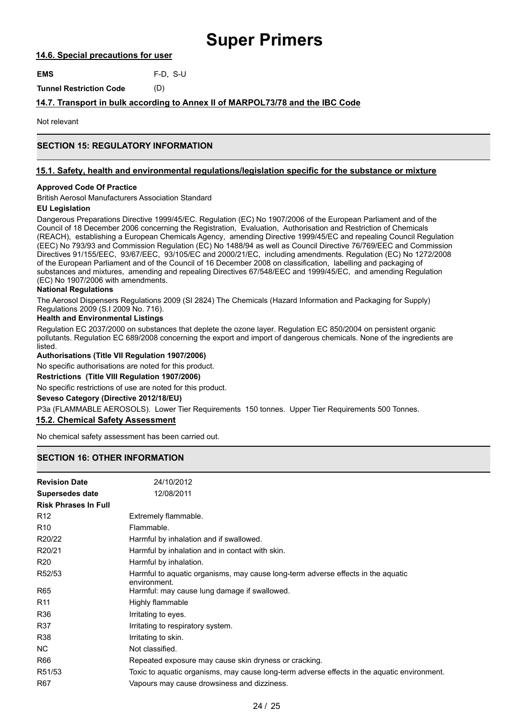### **14.6. Special precautions for user**

**EMS** F-D, S-U

**Tunnel Restriction Code** (D)

### **14.7. Transport in bulk according to Annex II of MARPOL73/78 and the IBC Code**

Not relevant

### **SECTION 15: REGULATORY INFORMATION**

### **15.1. Safety, health and environmental regulations/legislation specific for the substance or mixture**

### **Approved Code Of Practice**

British Aerosol Manufacturers Association Standard

### **EU Legislation**

Dangerous Preparations Directive 1999/45/EC. Regulation (EC) No 1907/2006 of the European Parliament and of the Council of 18 December 2006 concerning the Registration, Evaluation, Authorisation and Restriction of Chemicals (REACH), establishing a European Chemicals Agency, amending Directive 1999/45/EC and repealing Council Regulation (EEC) No 793/93 and Commission Regulation (EC) No 1488/94 as well as Council Directive 76/769/EEC and Commission Directives 91/155/EEC, 93/67/EEC, 93/105/EC and 2000/21/EC, including amendments. Regulation (EC) No 1272/2008 of the European Parliament and of the Council of 16 December 2008 on classification, labelling and packaging of substances and mixtures, amending and repealing Directives 67/548/EEC and 1999/45/EC, and amending Regulation (EC) No 1907/2006 with amendments.

### **National Regulations**

The Aerosol Dispensers Regulations 2009 (SI 2824) The Chemicals (Hazard Information and Packaging for Supply) Regulations 2009 (S.I 2009 No. 716).

### **Health and Environmental Listings**

Regulation EC 2037/2000 on substances that deplete the ozone layer. Regulation EC 850/2004 on persistent organic pollutants. Regulation EC 689/2008 concerning the export and import of dangerous chemicals. None of the ingredients are listed.

**Authorisations (Title VII Regulation 1907/2006)**

No specific authorisations are noted for this product.

#### **Restrictions (Title VIII Regulation 1907/2006)**

No specific restrictions of use are noted for this product.

### **Seveso Category (Directive 2012/18/EU)**

P3a (FLAMMABLE AEROSOLS). Lower Tier Requirements 150 tonnes. Upper Tier Requirements 500 Tonnes.

### **15.2. Chemical Safety Assessment**

No chemical safety assessment has been carried out.

### **SECTION 16: OTHER INFORMATION**

| <b>Revision Date</b>        | 24/10/2012                                                                                       |
|-----------------------------|--------------------------------------------------------------------------------------------------|
| <b>Supersedes date</b>      | 12/08/2011                                                                                       |
| <b>Risk Phrases In Full</b> |                                                                                                  |
| R <sub>12</sub>             | Extremely flammable.                                                                             |
| R <sub>10</sub>             | Flammable.                                                                                       |
| R20/22                      | Harmful by inhalation and if swallowed.                                                          |
| R20/21                      | Harmful by inhalation and in contact with skin.                                                  |
| R <sub>20</sub>             | Harmful by inhalation.                                                                           |
| R52/53                      | Harmful to aquatic organisms, may cause long-term adverse effects in the aquatic<br>environment. |
| <b>R65</b>                  | Harmful: may cause lung damage if swallowed.                                                     |
| R <sub>11</sub>             | Highly flammable                                                                                 |
| R36                         | Irritating to eyes.                                                                              |
| <b>R37</b>                  | Irritating to respiratory system.                                                                |
| R38                         | Irritating to skin.                                                                              |
| NC.                         | Not classified.                                                                                  |
| R66                         | Repeated exposure may cause skin dryness or cracking.                                            |
| R51/53                      | Toxic to aquatic organisms, may cause long-term adverse effects in the aquatic environment.      |
| R67                         | Vapours may cause drowsiness and dizziness.                                                      |